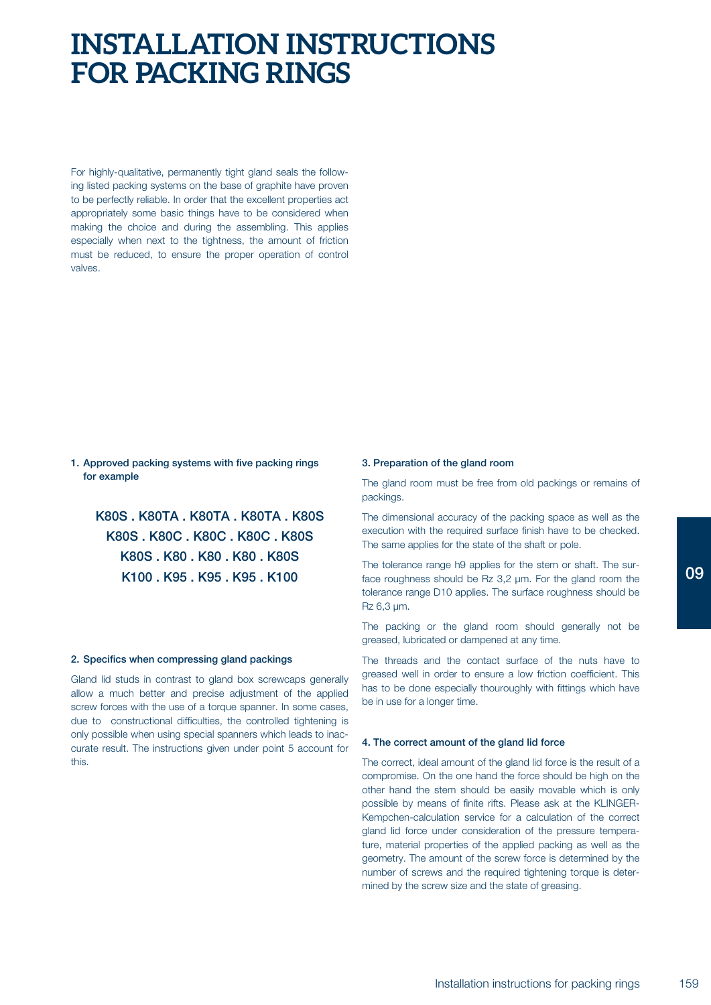## **INSTALLATION INSTRUCTIONS FOR PACKING RINGS**

For highly-qualitative, permanently tight gland seals the following listed packing systems on the base of graphite have proven to be perfectly reliable. In order that the excellent properties act appropriately some basic things have to be considered when making the choice and during the assembling. This applies especially when next to the tightness, the amount of friction must be reduced, to ensure the proper operation of control valves.

## **1. Approved packing systems with five packing rings for example**

**K80S . K80TA . K80TA . K80TA . K80S K80S . K80C . K80C . K80C . K80S K80S . K80 . K80 . K80 . K80S K100 . K95 . K95 . K95 . K100**

## **2. Specifics when compressing gland packings**

Gland lid studs in contrast to gland box screwcaps generally allow a much better and precise adjustment of the applied screw forces with the use of a torque spanner. In some cases, due to constructional difficulties, the controlled tightening is only possible when using special spanners which leads to inaccurate result. The instructions given under point 5 account for this.

## **3. Preparation of the gland room**

The gland room must be free from old packings or remains of packings.

The dimensional accuracy of the packing space as well as the execution with the required surface finish have to be checked. The same applies for the state of the shaft or pole.

The tolerance range h9 applies for the stem or shaft. The surface roughness should be Rz 3,2 µm. For the gland room the tolerance range D10 applies. The surface roughness should be Rz 6,3 µm.

The packing or the gland room should generally not be greased, lubricated or dampened at any time.

The threads and the contact surface of the nuts have to greased well in order to ensure a low friction coefficient. This has to be done especially thouroughly with fittings which have be in use for a longer time.

#### **4. The correct amount of the gland lid force**

The correct, ideal amount of the gland lid force is the result of a compromise. On the one hand the force should be high on the other hand the stem should be easily movable which is only possible by means of finite rifts. Please ask at the KLINGER-Kempchen-calculation service for a calculation of the correct gland lid force under consideration of the pressure temperature, material properties of the applied packing as well as the geometry. The amount of the screw force is determined by the number of screws and the required tightening torque is determined by the screw size and the state of greasing.